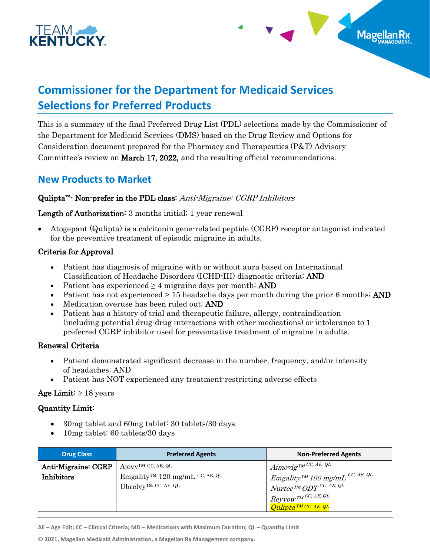



# **Commissioner for the Department for Medicaid Services Selections for Preferred Products**

This is a summary of the final Preferred Drug List (PDL) selections made by the Commissioner of the Department for Medicaid Services (DMS) based on the Drug Review and Options for Consideration document prepared for the Pharmacy and Therapeutics (P&T) Advisory Committee's review on March 17, 2022, and the resulting official recommendations.

## **New Products to Market**

## Qulipta<sup>™</sup>- Non-prefer in the PDL class: Anti-Migraine: CGRP Inhibitors

#### Length of Authorization: 3 months initial; 1 year renewal

• Atogepant (Qulipta) is a calcitonin gene-related peptide (CGRP) receptor antagonist indicated for the preventive treatment of episodic migraine in adults.

#### Criteria for Approval

- Patient has diagnosis of migraine with or without aura based on International Classification of Headache Disorders (ICHD-III) diagnostic criteria; AND
- Patient has experienced  $\geq 4$  migraine days per month; AND
- Patient has not experienced  $> 15$  headache days per month during the prior 6 months; AND
- Medication overuse has been ruled out; AND
- Patient has a history of trial and therapeutic failure, allergy, contraindication (including potential drug-drug interactions with other medications) or intolerance to 1 preferred CGRP inhibitor used for preventative treatment of migraine in adults.

#### Renewal Criteria

- Patient demonstrated significant decrease in the number, frequency, and/or intensity of headaches; AND
- Patient has NOT experienced any treatment-restricting adverse effects

#### Age Limit:  $\geq 18$  years

#### Quantity Limit:

- 30 mg tablet and 60 mg tablet: 30 tablets/30 days
- 10mg tablet: 60 tablets/30 days

| <b>Drug Class</b>   | <b>Preferred Agents</b>                                | <b>Non-Preferred Agents</b>                                                                                                                                          |
|---------------------|--------------------------------------------------------|----------------------------------------------------------------------------------------------------------------------------------------------------------------------|
| Anti-Migraine: CGRP | $A$ jovy <sup>tm</sup> CC, AE, QL                      | $\sum_{i=1}^{N}$ Aimovig <sub>TM</sub> CC, AE, QL                                                                                                                    |
| <b>Inhibitors</b>   | Emgality <sup>TM</sup> 120 mg/mL <sup>CC, AE, QL</sup> | $\Big \begin{array}{cc} \textit{Emgality}^{\tau M} \textit{100 mg/mL} \end{array}^{CC, \textit{AE,QL}} \ \textit{Nurtec}^{\tau M} \textit{ODT}^{\textit{CC, AE,QL}}$ |
|                     | Ubrelvy <sup>TM</sup> CC, AE, QL                       |                                                                                                                                                                      |
|                     |                                                        | $\textit{Reyvow}$ TM CC, AE, QL                                                                                                                                      |
|                     |                                                        | $Qulibta^{TMCC, AE,QL}$                                                                                                                                              |

**AE – Age Edit; CC – Clinical Criteria; MD – Medications with Maximum Duration; QL – Quantity Limit**

**© 2021, Magellan Medicaid Administration, a Magellan Rx Management company.**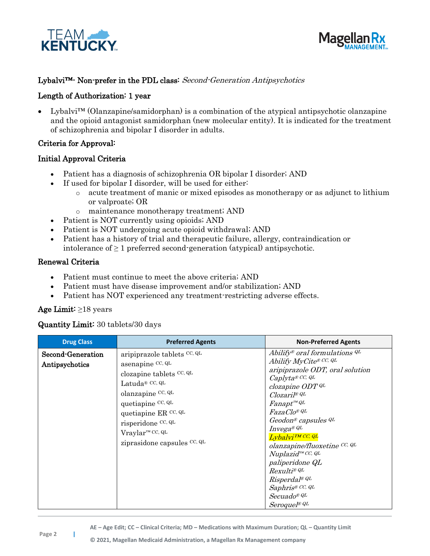



#### Lybalvi<sup>™</sup>- Non-prefer in the PDL class: Second-Generation Antipsychotics

#### Length of Authorization: 1 year

• Lybalvi™ (Olanzapine/samidorphan) is a combination of the atypical antipsychotic olanzapine and the opioid antagonist samidorphan (new molecular entity). It is indicated for the treatment of schizophrenia and bipolar I disorder in adults.

#### Criteria for Approval:

#### Initial Approval Criteria

- Patient has a diagnosis of schizophrenia OR bipolar I disorder; AND
- If used for bipolar I disorder, will be used for either:
	- o acute treatment of manic or mixed episodes as monotherapy or as adjunct to lithium or valproate; OR
	- o maintenance monotherapy treatment; AND
- Patient is NOT currently using opioids; AND
- Patient is NOT undergoing acute opioid withdrawal; AND
- Patient has a history of trial and therapeutic failure, allergy, contraindication or intolerance of  $\geq 1$  preferred second-generation (atypical) antipsychotic.

#### Renewal Criteria

- Patient must continue to meet the above criteria; AND
- Patient must have disease improvement and/or stabilization; AND
- Patient has NOT experienced any treatment-restricting adverse effects.

#### Age Limit: ≥18 years

#### Quantity Limit: 30 tablets/30 days

| <b>Drug Class</b>                   | <b>Preferred Agents</b>                                                                                                                                                                                                                               | <b>Non-Preferred Agents</b>                                                                                                                                                                                                                                                                                                                                                                                                                                                      |
|-------------------------------------|-------------------------------------------------------------------------------------------------------------------------------------------------------------------------------------------------------------------------------------------------------|----------------------------------------------------------------------------------------------------------------------------------------------------------------------------------------------------------------------------------------------------------------------------------------------------------------------------------------------------------------------------------------------------------------------------------------------------------------------------------|
| Second-Generation<br>Antipsychotics | aripiprazole tablets CC, QL<br>asenapine CC, QL<br>clozapine tablets CC, QL<br>Latuda® $CC, QL$<br>olanzapine CC, QL<br>quetiapine CC, QL<br>quetiapine ER CC, QL<br>risperidone CC, QL<br>Vraylar <sup>™</sup> CC, QL<br>ziprasidone capsules CC, QL | Abilify® oral formulations $^{QL}$<br>Abilify MyCite® CC, QL<br>aripiprazole ODT, oral solution<br>Caplyta® CC, QL<br>clozapine ODT QL<br>Clozaril® QL<br>$Fanapt^{\tiny{TM}}QL$<br>FazaClo® QL<br>Geodon <sup>®</sup> capsules <sup>QL</sup><br>Invega® QL<br>Lybalvi <sup>TM</sup> CC, QL<br>olanzapine/fluoxetine CC, QL<br>Nuplazid™ CC, QL<br>paliperidone QL<br>Rexulti® QL<br>$R$ isperdal® QL<br>Saphris® CC, QL<br>$Secuado^{\circledR}$ QL<br>Seroquel <sup>® QL</sup> |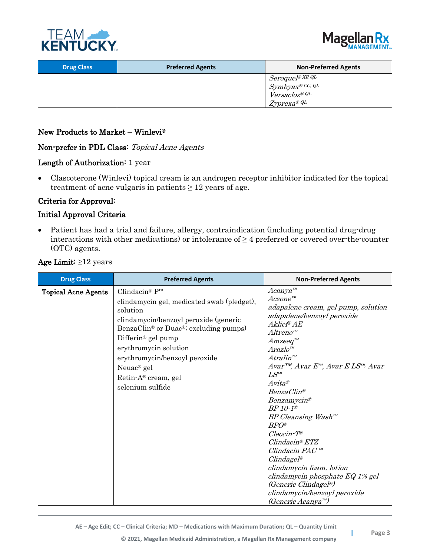



| <b>Drug Class</b> | <b>Preferred Agents</b> | <b>Non-Preferred Agents</b>                      |
|-------------------|-------------------------|--------------------------------------------------|
|                   |                         | $Seroquel^{\circledast \textit{XR} \textit{QL}}$ |
|                   |                         | Symbyax® CC, QL<br>Versacloz® QL                 |
|                   |                         | $Zyprexa^{\circledR}QL$                          |

#### New Products to Market – Winlevi®

Non-prefer in PDL Class: Topical Acne Agents

#### Length of Authorization: 1 year

• Clascoterone (Winlevi) topical cream is an androgen receptor inhibitor indicated for the topical treatment of acne vulgaris in patients  $\geq 12$  years of age.

## Criteria for Approval:

## Initial Approval Criteria

• Patient has had a trial and failure, allergy, contraindication (including potential drug-drug interactions with other medications) or intolerance of  $\geq 4$  preferred or covered over-the-counter (OTC) agents.

| <b>Drug Class</b>          | <b>Preferred Agents</b>                                                                                                                                                                                                                                                                                                                                                        | <b>Non-Preferred Agents</b>                                                                                                                                                                                                                                                                                                                                                                                                                                                                                                                                                                                                                                                                                                                                                                                           |
|----------------------------|--------------------------------------------------------------------------------------------------------------------------------------------------------------------------------------------------------------------------------------------------------------------------------------------------------------------------------------------------------------------------------|-----------------------------------------------------------------------------------------------------------------------------------------------------------------------------------------------------------------------------------------------------------------------------------------------------------------------------------------------------------------------------------------------------------------------------------------------------------------------------------------------------------------------------------------------------------------------------------------------------------------------------------------------------------------------------------------------------------------------------------------------------------------------------------------------------------------------|
| <b>Topical Acne Agents</b> | Clindacin <sup>®</sup> $P^m$<br>clindamycin gel, medicated swab (pledget),<br>solution<br>clindamycin/benzoyl peroxide (generic<br>BenzaClin <sup>®</sup> or Duac <sup>®</sup> ; excluding pumps)<br>Differin <sup>®</sup> gel pump<br>erythromycin solution<br>erythromycin/benzoyl peroxide<br>Neuac <sup>®</sup> gel<br>Retin-A <sup>®</sup> cream, gel<br>selenium sulfide | $A canya^m$<br>$Accone^{m}$<br>adapalene cream, gel pump, solution<br>adapalene/benzoyl peroxide<br>Aklief® AE<br>$Altreno^{\scriptscriptstyle TM}$<br>$A m$ zee $q^{\scriptscriptstyle m}$<br>$Arazlo^{m}$<br>$A$ tralin $^{\mathrm{\scriptscriptstyle{TM}}}$<br>$Avar^{TM}$ , Avar $E^{\prime\prime\prime}$ , Avar E LS <sup><math>\prime\prime\prime</math></sup> , Avar<br>$LS^{m}$<br>$Avita^{\otimes}$<br>Benza Clin <sup>®</sup><br>Benzamycin®<br>$BP10-1$ ®<br>$BP$ Cleansing Wash <sup><math>m</math></sup><br>$BPO^{\circledast}$<br>$Cleocin$ -T <sup>®</sup><br>$C$ lindacin® $ETZ$<br>$C$ lindacin PAC $\mathbb{R}^m$<br>$C$ lindagel®<br>clindamycin foam, lotion<br>clindamycin phosphate EQ 1% gel<br><i>(Generic Clindagel®)</i><br>clindamycin/benzoyl peroxide<br>(Generic Acanya <sup>r</sup> ") |

#### Age Limit: ≥12 years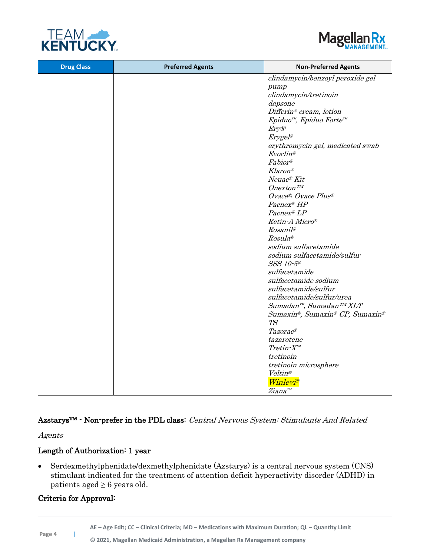



| <b>Drug Class</b> | <b>Preferred Agents</b> | <b>Non-Preferred Agents</b>                     |
|-------------------|-------------------------|-------------------------------------------------|
|                   |                         | clindamycin/benzoyl peroxide gel                |
|                   |                         | pump                                            |
|                   |                         | clindamycin/tretinoin                           |
|                   |                         | dapsone                                         |
|                   |                         | Differin® cream, lotion                         |
|                   |                         | Epiduo <sup>™</sup> , Epiduo Forte <sup>™</sup> |
|                   |                         | Ery@                                            |
|                   |                         | $Erygel^{\otimes}$                              |
|                   |                         | erythromycin gel, medicated swab                |
|                   |                         | $Evoclin^{\circledR}$                           |
|                   |                         | Fabior®                                         |
|                   |                         | <b>Klaron®</b>                                  |
|                   |                         | Neuac® Kit                                      |
|                   |                         | $Onex$ ton <sup>TM</sup>                        |
|                   |                         | Ovace <sup>®</sup> , Ovace Plus®                |
|                   |                         | Pacnex® HP                                      |
|                   |                         | Pacnex® LP                                      |
|                   |                         | Retin-A Micro®                                  |
|                   |                         | $Rosani^{1}$                                    |
|                   |                         | Rosula®                                         |
|                   |                         | sodium sulfacetamide                            |
|                   |                         | sodium sulfacetamide/sulfur<br>SSS 10-5®        |
|                   |                         | sulfacetamide                                   |
|                   |                         | sulfacetamide sodium                            |
|                   |                         | sulfacetamide/sulfur                            |
|                   |                         | sulfacetamide/sulfur/urea                       |
|                   |                         | Sumadan <sup>™</sup> , Sumadan <sup>™</sup> XLT |
|                   |                         | Sumaxin®, Sumaxin® CP, Sumaxin®                 |
|                   |                         | T <sub>S</sub>                                  |
|                   |                         | Tazorac®                                        |
|                   |                         | tazarotene                                      |
|                   |                         | $Tretin-X^{m}$                                  |
|                   |                         | tretinoin                                       |
|                   |                         | tretinoin microsphere                           |
|                   |                         | Veltin®                                         |
|                   |                         | <i>Winlevi®</i>                                 |
|                   |                         | Ziana <sup>™</sup>                              |

## Azstarys™ - Non-prefer in the PDL class: Central Nervous System: Stimulants And Related

Agents

## Length of Authorization: 1 year

• Serdexmethylphenidate/dexmethylphenidate (Azstarys) is a central nervous system (CNS) stimulant indicated for the treatment of attention deficit hyperactivity disorder (ADHD) in patients aged  $\geq 6$  years old.

## Criteria for Approval: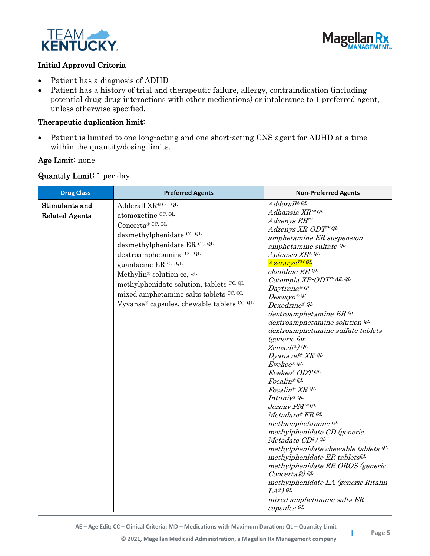



## Initial Approval Criteria

- Patient has a diagnosis of ADHD
- Patient has a history of trial and therapeutic failure, allergy, contraindication (including potential drug-drug interactions with other medications) or intolerance to 1 preferred agent, unless otherwise specified.

#### Therapeutic duplication limit:

• Patient is limited to one long-acting and one short-acting CNS agent for ADHD at a time within the quantity/dosing limits.

#### Age Limit: none

#### Quantity Limit: 1 per day

| <b>Drug Class</b>     | <b>Preferred Agents</b>                          | <b>Non-Preferred Agents</b>                                 |
|-----------------------|--------------------------------------------------|-------------------------------------------------------------|
| Stimulants and        | Adderall XR® CC, QL                              | Adderall® QL                                                |
| <b>Related Agents</b> | atomoxetine CC, QL                               | Adhansia XR™ QL                                             |
|                       | Concerta® CC, QL                                 | $Adzenys$ $ERm$                                             |
|                       | dexmethylphenidate CC, QL                        | Adzenys XR-ODT™ QL                                          |
|                       |                                                  | amphetamine ER suspension                                   |
|                       | dexmethylphenidate ER CC, QL                     | amphetamine sulfate QL                                      |
|                       | dextroamphetamine CC, QL                         | Aptensio XR® QL                                             |
|                       | guanfacine ER CC, QL                             | Azstarys ™ QL                                               |
|                       | Methylin <sup>®</sup> solution cc, <sup>QL</sup> | clonidine ER QL                                             |
|                       | methylphenidate solution, tablets CC, QL         | Cotempla XR-ODT <sup>™AE, QL</sup>                          |
|                       | mixed amphetamine salts tablets CC, QL           | Daytrana® QL                                                |
|                       | Vyvanse® capsules, chewable tablets CC, QL       | $Desoxyn^{\circledR}$ QL<br>Dexedrine® QL                   |
|                       |                                                  |                                                             |
|                       |                                                  | dextroamphetamine ER QL<br>dextroamphetamine solution QL    |
|                       |                                                  | dextroamphetamine sulfate tablets                           |
|                       |                                                  | <i>(generic for</i> )                                       |
|                       |                                                  | Zenzedi®) QL                                                |
|                       |                                                  | Dyanavel <sup>®</sup> XR QL                                 |
|                       |                                                  | Evekeo® QL                                                  |
|                       |                                                  | Evekeo® ODT QL                                              |
|                       |                                                  | Focalin® QL                                                 |
|                       |                                                  | Focalin® XR QL                                              |
|                       |                                                  | Intuniv® QL                                                 |
|                       |                                                  | Jornay PM <sup>™ QL</sup>                                   |
|                       |                                                  | Metadate® ER QL                                             |
|                       |                                                  | methamphetamine QL                                          |
|                       |                                                  | methylphenidate CD (generic                                 |
|                       |                                                  | Metadate CD®) QL                                            |
|                       |                                                  | methylphenidate chewable tablets QL                         |
|                       |                                                  | methylphenidate ER tabletsQL                                |
|                       |                                                  | methylphenidate ER OROS (generic                            |
|                       |                                                  | Concerta®) QL                                               |
|                       |                                                  | methylphenidate LA (generic Ritalin<br>$LA^{\circledR})$ QL |
|                       |                                                  | mixed amphetamine salts ER                                  |
|                       |                                                  | capsules QL                                                 |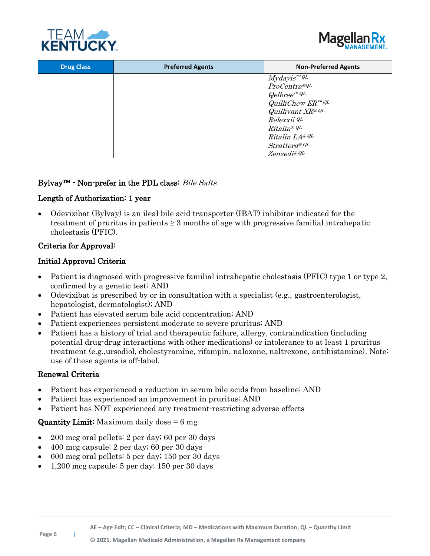



| <b>Drug Class</b> | <b>Preferred Agents</b> | <b>Non-Preferred Agents</b>                        |
|-------------------|-------------------------|----------------------------------------------------|
|                   |                         | $Myday is ^{mQL}$                                  |
|                   |                         | ProCentra®QL                                       |
|                   |                         | $Qelbree^{r_{M}QL}$                                |
|                   |                         | $Quillic$ hew $ER^{mQL}$                           |
|                   |                         | Quillivant XR® QL                                  |
|                   |                         | Relexxii <sup>QL</sup>                             |
|                   |                         | $Ritalin^{\circledR}$ <sup>QL</sup>                |
|                   |                         | Ritalin LA® QL                                     |
|                   |                         | $Strattera^{\text{\tiny{\textregistered}}}{}^{QL}$ |
|                   |                         | $Zenzedi^{\circledR} QL$                           |

#### Bylvay™ - Non-prefer in the PDL class: Bile Salts

## Length of Authorization: 1 year

• Odevixibat (Bylvay) is an ileal bile acid transporter (IBAT) inhibitor indicated for the treatment of pruritus in patients  $\geq 3$  months of age with progressive familial intrahepatic cholestasis (PFIC).

## Criteria for Approval:

## Initial Approval Criteria

- Patient is diagnosed with progressive familial intrahepatic cholestasis (PFIC) type 1 or type 2, confirmed by a genetic test; AND
- Odevixibat is prescribed by or in consultation with a specialist (e.g., gastroenterologist, hepatologist, dermatologist); AND
- Patient has elevated serum bile acid concentration; AND
- Patient experiences persistent moderate to severe pruritus; AND
- Patient has a history of trial and therapeutic failure, allergy, contraindication (including potential drug-drug interactions with other medications) or intolerance to at least 1 pruritus treatment (e.g.,ursodiol, cholestyramine, rifampin, naloxone, naltrexone, antihistamine). Note: use of these agents is off-label.

## Renewal Criteria

- Patient has experienced a reduction in serum bile acids from baseline; AND
- Patient has experienced an improvement in pruritus; AND
- Patient has NOT experienced any treatment-restricting adverse effects

## **Quantity Limit:** Maximum daily dose  $= 6$  mg

- 200 mcg oral pellets: 2 per day; 60 per 30 days
- 400 mcg capsule: 2 per day; 60 per 30 days
- 600 mcg oral pellets: 5 per day; 150 per 30 days
- 1,200 mcg capsule: 5 per day; 150 per 30 days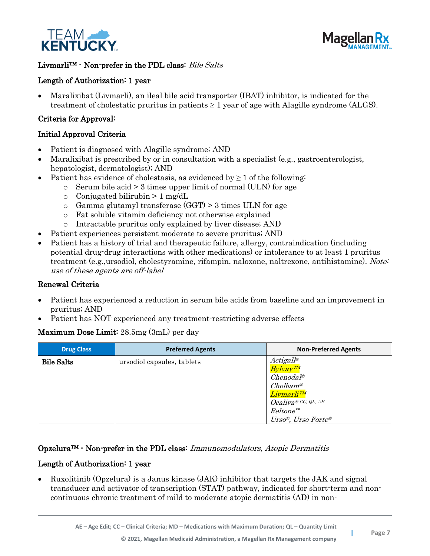



## Livmarli™ - Non-prefer in the PDL class: Bile Salts

## Length of Authorization: 1 year

• Maralixibat (Livmarli), an ileal bile acid transporter (IBAT) inhibitor, is indicated for the treatment of cholestatic pruritus in patients  $\geq 1$  year of age with Alagille syndrome (ALGS).

#### Criteria for Approval:

#### Initial Approval Criteria

- Patient is diagnosed with Alagille syndrome; AND
- Maralixibat is prescribed by or in consultation with a specialist (e.g., gastroenterologist, hepatologist, dermatologist); AND
- Patient has evidence of cholestasis, as evidenced by  $\geq 1$  of the following:
	- $\circ$  Serum bile acid  $> 3$  times upper limit of normal (ULN) for age
	- $\circ$  Conjugated bilirubin > 1 mg/dL
	- $\circ$  Gamma glutamyl transferase (GGT) > 3 times ULN for age
	- o Fat soluble vitamin deficiency not otherwise explained
	- o Intractable pruritus only explained by liver disease; AND
- Patient experiences persistent moderate to severe pruritus; AND
- Patient has a history of trial and therapeutic failure, allergy, contraindication (including potential drug-drug interactions with other medications) or intolerance to at least 1 pruritus treatment (e.g.,ursodiol, cholestyramine, rifampin, naloxone, naltrexone, antihistamine). Note: use of these agents are off-label

#### Renewal Criteria

- Patient has experienced a reduction in serum bile acids from baseline and an improvement in pruritus; AND
- Patient has NOT experienced any treatment-restricting adverse effects

#### Maximum Dose Limit: 28.5mg (3mL) per day

| <b>Drug Class</b> | <b>Preferred Agents</b>    | <b>Non-Preferred Agents</b>                                                                                                                                                    |
|-------------------|----------------------------|--------------------------------------------------------------------------------------------------------------------------------------------------------------------------------|
| <b>Bile Salts</b> | ursodiol capsules, tablets | $Actigall^{\circledR}$<br>$Bylyay^{TM}$<br>$Chenodal^{\otimes}$<br>$Cholbam$ <sup>®</sup><br>Livmarli™<br>$Ocalive^{\otimes CC,QL, AE}$<br>$Reltone^{m}$<br>Urso®, Urso Forte® |

#### Opzelura™ - Non-prefer in the PDL class: Immunomodulators, Atopic Dermatitis

#### Length of Authorization: 1 year

• Ruxolitinib (Opzelura) is a Janus kinase (JAK) inhibitor that targets the JAK and signal transducer and activator of transcription (STAT) pathway, indicated for short-term and noncontinuous chronic treatment of mild to moderate atopic dermatitis (AD) in non-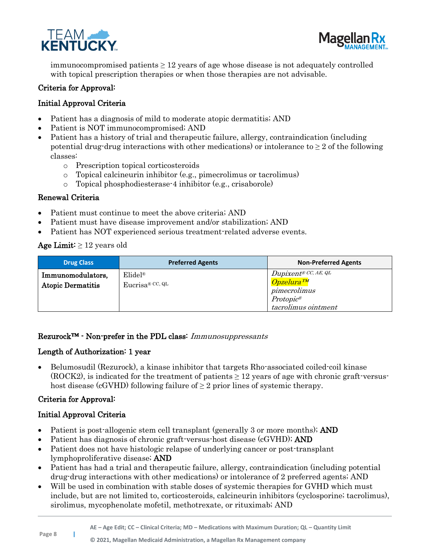



immunocompromised patients  $\geq 12$  years of age whose disease is not adequately controlled with topical prescription therapies or when those therapies are not advisable.

#### Criteria for Approval:

## Initial Approval Criteria

- Patient has a diagnosis of mild to moderate atopic dermatitis; AND
- Patient is NOT immunocompromised; AND
- Patient has a history of trial and therapeutic failure, allergy, contraindication (including potential drug-drug interactions with other medications) or intolerance to  $\geq 2$  of the following classes:
	- o Prescription topical corticosteroids
	- o Topical calcineurin inhibitor (e.g., pimecrolimus or tacrolimus)
	- o Topical phosphodiesterase-4 inhibitor (e.g., crisaborole)

#### Renewal Criteria

- Patient must continue to meet the above criteria; AND
- Patient must have disease improvement and/or stabilization; AND
- Patient has NOT experienced serious treatment-related adverse events.

#### Age Limit:  $\geq 12$  years old

| <b>Drug Class</b>                             | <b>Preferred Agents</b>                  | <b>Non-Preferred Agents</b>                                                                                                    |
|-----------------------------------------------|------------------------------------------|--------------------------------------------------------------------------------------------------------------------------------|
| Immunomodulators,<br><b>Atopic Dermatitis</b> | $E$ lidel <sup>®</sup><br>Euerisa@CC, QL | $Dupixent^{\circledR}$ CC, AE, QL<br>Opzelura <sup>TM</sup><br>pimecrolimus<br>$Protopic^{\mathcal{B}}$<br>tacrolimus ointment |

#### Rezurock™ - Non-prefer in the PDL class: Immunosuppressants

#### Length of Authorization: 1 year

• Belumosudil (Rezurock), a kinase inhibitor that targets Rho-associated coiled-coil kinase  $(ROCK2)$ , is indicated for the treatment of patients  $\geq 12$  years of age with chronic graft-versushost disease (cGVHD) following failure of  $\geq 2$  prior lines of systemic therapy.

#### Criteria for Approval:

- Patient is post-allogenic stem cell transplant (generally 3 or more months); AND
- Patient has diagnosis of chronic graft-versus-host disease (cGVHD); AND
- Patient does not have histologic relapse of underlying cancer or post-transplant lymphoproliferative disease; AND
- Patient has had a trial and therapeutic failure, allergy, contraindication (including potential drug-drug interactions with other medications) or intolerance of 2 preferred agents; AND
- Will be used in combination with stable doses of systemic therapies for GVHD which must include, but are not limited to, corticosteroids, calcineurin inhibitors (cyclosporine; tacrolimus), sirolimus, mycophenolate mofetil, methotrexate, or rituximab; AND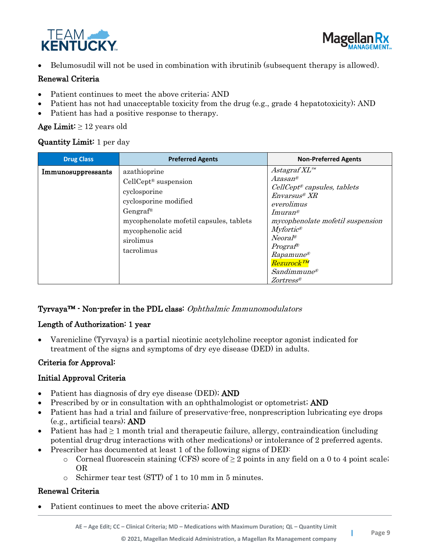



• Belumosudil will not be used in combination with ibrutinib (subsequent therapy is allowed).

## Renewal Criteria

- Patient continues to meet the above criteria; AND
- Patient has not had unacceptable toxicity from the drug (e.g., grade 4 hepatotoxicity); AND
- Patient has had a positive response to therapy.

#### Age Limit:  $\geq 12$  years old

#### Quantity Limit: 1 per day

| <b>Drug Class</b>  | <b>Preferred Agents</b>                                                                                                                                                                             | <b>Non-Preferred Agents</b>                                                                                                                                                                                                                                                                                                                         |
|--------------------|-----------------------------------------------------------------------------------------------------------------------------------------------------------------------------------------------------|-----------------------------------------------------------------------------------------------------------------------------------------------------------------------------------------------------------------------------------------------------------------------------------------------------------------------------------------------------|
| Immunosuppressants | azathioprine<br>$Cell Cept®$ suspension<br>cyclosporine<br>cyclosporine modified<br>Gengraf <sup>®</sup><br>mycophenolate mofetil capsules, tablets<br>mycophenolic acid<br>sirolimus<br>tacrolimus | $A$ stagraf $XL^m$<br>$Azasan^{\circledR}$<br>$Cell C ept®$ capsules, tablets<br>$Envarsus^{\otimes}XR$<br>everolimus<br>$Imuran$ <sup>®</sup><br>mycophenolate mofetil suspension<br>$Myfortic$ <sup>®</sup><br>$Neoral^{\mathcal{R}}$<br>$Program^{\circledR}$<br>$Rapamune^{\circledR}$<br>Rezurock <sup>TM</sup><br>$S$ andimmune®<br>Zortress® |

## Tyrvaya™ - Non-prefer in the PDL class: Ophthalmic Immunomodulators

## Length of Authorization: 1 year

• Varenicline (Tyrvaya) is a partial nicotinic acetylcholine receptor agonist indicated for treatment of the signs and symptoms of dry eye disease (DED) in adults.

## Criteria for Approval:

## Initial Approval Criteria

- Patient has diagnosis of dry eye disease (DED); AND
- Prescribed by or in consultation with an ophthalmologist or optometrist; AND
- Patient has had a trial and failure of preservative-free, nonprescription lubricating eye drops (e.g., artificial tears); AND
- Patient has had  $\geq 1$  month trial and therapeutic failure, allergy, contraindication (including potential drug-drug interactions with other medications) or intolerance of 2 preferred agents.
- Prescriber has documented at least 1 of the following signs of DED:
	- o Corneal fluorescein staining (CFS) score of  $\geq 2$  points in any field on a 0 to 4 point scale; OR
	- o Schirmer tear test (STT) of 1 to 10 mm in 5 minutes.

## Renewal Criteria

Patient continues to meet the above criteria; AND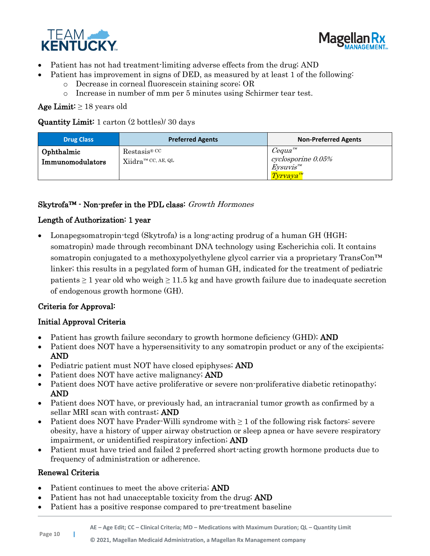



- Patient has not had treatment-limiting adverse effects from the drug; AND
- Patient has improvement in signs of DED, as measured by at least 1 of the following:
	- o Decrease in corneal fluorescein staining score; OR
	- o Increase in number of mm per 5 minutes using Schirmer tear test.

Age Limit:  $\geq 18$  years old

Quantity Limit: 1 carton (2 bottles)/ 30 days

| <b>Drug Class</b>              | <b>Preferred Agents</b>                                                            | <b>Non-Preferred Agents</b>                                                    |
|--------------------------------|------------------------------------------------------------------------------------|--------------------------------------------------------------------------------|
| Ophthalmic<br>Immunomodulators | $\text{Restasis}^{\circledR}$ CC<br>$\text{Xiidra}^{\text{TM} \text{ CC, AE, QL}}$ | $Cequa^{m}$<br>cyclosporine 0.05%<br>$Eysuvis^{m}$<br>$T_{\rm yr}$ vaya $^{m}$ |

## Skytrofa™ - Non-prefer in the PDL class: Growth Hormones

## Length of Authorization: 1 year

• Lonapegsomatropin-tcgd (Skytrofa) is a long-acting prodrug of a human GH (HGH; somatropin) made through recombinant DNA technology using Escherichia coli. It contains somatropin conjugated to a methoxypolyethylene glycol carrier via a proprietary TransCon<sup>™</sup> linker; this results in a pegylated form of human GH, indicated for the treatment of pediatric patients  $\geq 1$  year old who weigh  $\geq 11.5$  kg and have growth failure due to inadequate secretion of endogenous growth hormone (GH).

## Criteria for Approval:

## Initial Approval Criteria

- Patient has growth failure secondary to growth hormone deficiency (GHD); AND
- Patient does NOT have a hypersensitivity to any somatropin product or any of the excipients; AND
- Pediatric patient must NOT have closed epiphyses; AND
- Patient does NOT have active malignancy; **AND**
- Patient does NOT have active proliferative or severe non-proliferative diabetic retinopathy; AND
- Patient does NOT have, or previously had, an intracranial tumor growth as confirmed by a sellar MRI scan with contrast; AND
- Patient does NOT have Prader-Willi syndrome with  $\geq 1$  of the following risk factors: severe obesity, have a history of upper airway obstruction or sleep apnea or have severe respiratory impairment, or unidentified respiratory infection; AND
- Patient must have tried and failed 2 preferred short-acting growth hormone products due to frequency of administration or adherence.

#### Renewal Criteria

- Patient continues to meet the above criteria; **AND**
- Patient has not had unacceptable toxicity from the drug; AND
- Patient has a positive response compared to pre-treatment baseline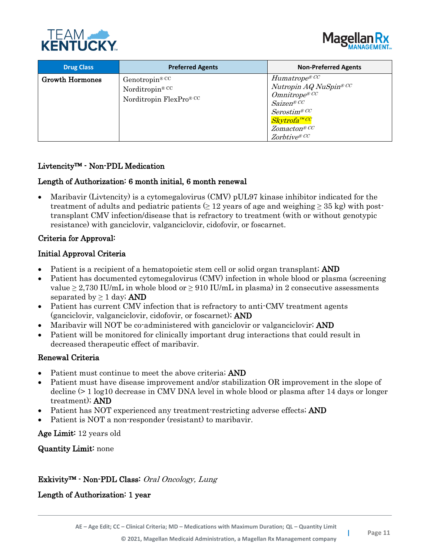



| <b>Drug Class</b>      | <b>Preferred Agents</b>                                                             | <b>Non-Preferred Agents</b>                                                                                                                                                                |
|------------------------|-------------------------------------------------------------------------------------|--------------------------------------------------------------------------------------------------------------------------------------------------------------------------------------------|
| <b>Growth Hormones</b> | Genotropin <sup>® CC</sup><br>Norditropin <sup>® CC</sup><br>Norditropin FlexPro®CC | $H$ umatrope® $^{CC}$<br>Nutropin AQ NuSpin® CC<br>$Omnitrope^{\otimes CC}$<br>Saizen® CC<br>$Seros\! \mathbb{C}^C$<br><mark>Skytrofa™ <sup>cc</sup></mark><br>Zomacton@CC<br>Zorbtive® CC |

#### Livtencity™ - Non-PDL Medication

#### Length of Authorization: 6 month initial, 6 month renewal

• Maribavir (Livtencity) is a cytomegalovirus (CMV) pUL97 kinase inhibitor indicated for the treatment of adults and pediatric patients  $\geq 12$  years of age and weighing  $\geq 35$  kg) with posttransplant CMV infection/disease that is refractory to treatment (with or without genotypic resistance) with ganciclovir, valganciclovir, cidofovir, or foscarnet.

#### Criteria for Approval:

#### Initial Approval Criteria

- Patient is a recipient of a hematopoietic stem cell or solid organ transplant; AND
- Patient has documented cytomegalovirus (CMV) infection in whole blood or plasma (screening value  $\geq 2.730$  IU/mL in whole blood or  $\geq 910$  IU/mL in plasma) in 2 consecutive assessments separated by  $\geq 1$  day; AND
- Patient has current CMV infection that is refractory to anti-CMV treatment agents (ganciclovir, valganciclovir, cidofovir, or foscarnet); AND
- Maribavir will NOT be co-administered with ganciclovir or valganciclovir; AND
- Patient will be monitored for clinically important drug interactions that could result in decreased therapeutic effect of maribavir.

#### Renewal Criteria

- Patient must continue to meet the above criteria; AND
- Patient must have disease improvement and/or stabilization OR improvement in the slope of decline (> 1 log10 decrease in CMV DNA level in whole blood or plasma after 14 days or longer treatment); AND
- Patient has NOT experienced any treatment-restricting adverse effects; AND
- Patient is NOT a non-responder (resistant) to maribavir.

Age Limit: 12 years old

Quantity Limit: none

#### Exkivity™ - Non-PDL Class: Oral Oncology, Lung

Length of Authorization: 1 year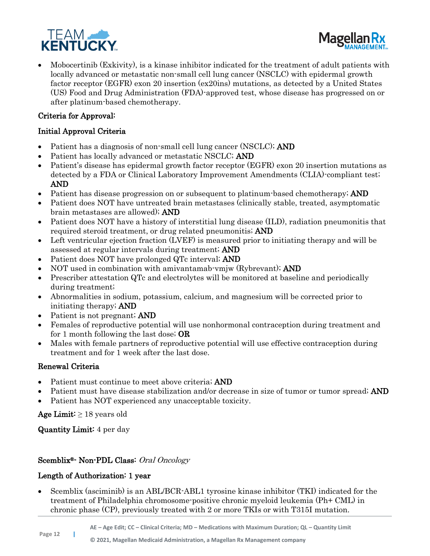



• Mobocertinib (Exkivity), is a kinase inhibitor indicated for the treatment of adult patients with locally advanced or metastatic non-small cell lung cancer (NSCLC) with epidermal growth factor receptor (EGFR) exon 20 insertion (ex20ins) mutations, as detected by a United States (US) Food and Drug Administration (FDA)-approved test, whose disease has progressed on or after platinum-based chemotherapy.

## Criteria for Approval:

## Initial Approval Criteria

- Patient has a diagnosis of non-small cell lung cancer (NSCLC); AND
- Patient has locally advanced or metastatic NSCLC; AND
- Patient's disease has epidermal growth factor receptor (EGFR) exon 20 insertion mutations as detected by a FDA or Clinical Laboratory Improvement Amendments (CLIA)-compliant test; AND
- Patient has disease progression on or subsequent to platinum-based chemotherapy; AND
- Patient does NOT have untreated brain metastases (clinically stable, treated, asymptomatic brain metastases are allowed); AND
- Patient does NOT have a history of interstitial lung disease (ILD), radiation pneumonitis that required steroid treatment, or drug related pneumonitis; AND
- Left ventricular ejection fraction (LVEF) is measured prior to initiating therapy and will be assessed at regular intervals during treatment; AND
- Patient does NOT have prolonged QTc interval; AND
- NOT used in combination with amivantamab-vmjw (Rybrevant); AND
- Prescriber attestation QTc and electrolytes will be monitored at baseline and periodically during treatment;
- Abnormalities in sodium, potassium, calcium, and magnesium will be corrected prior to initiating therapy; AND
- Patient is not pregnant; **AND**
- Females of reproductive potential will use nonhormonal contraception during treatment and for 1 month following the last dose; OR
- Males with female partners of reproductive potential will use effective contraception during treatment and for 1 week after the last dose.

## Renewal Criteria

- Patient must continue to meet above criteria; AND
- Patient must have disease stabilization and/or decrease in size of tumor or tumor spread; AND
- Patient has NOT experienced any unacceptable toxicity.

Age Limit:  $\geq 18$  years old

Quantity Limit: 4 per day

## Scemblix®- Non-PDL Class: Oral Oncology

## Length of Authorization: 1 year

• Scemblix (asciminib) is an ABL/BCR-ABL1 tyrosine kinase inhibitor (TKI) indicated for the treatment of Philadelphia chromosome-positive chronic myeloid leukemia (Ph+ CML) in chronic phase (CP), previously treated with 2 or more TKIs or with T315I mutation.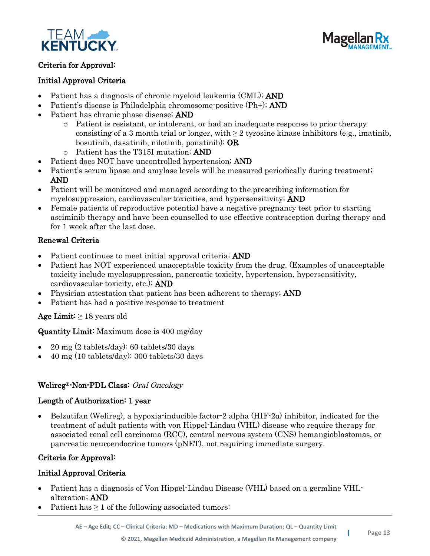



## Criteria for Approval:

#### Initial Approval Criteria

- Patient has a diagnosis of chronic myeloid leukemia (CML); **AND**
- Patient's disease is Philadelphia chromosome-positive (Ph+); **AND**
- Patient has chronic phase disease; AND
	- o Patient is resistant, or intolerant, or had an inadequate response to prior therapy consisting of a 3 month trial or longer, with  $\geq 2$  tyrosine kinase inhibitors (e.g., imatinib, bosutinib, dasatinib, nilotinib, ponatinib); OR
	- o Patient has the T315I mutation; AND
- Patient does NOT have uncontrolled hypertension; AND
- Patient's serum lipase and amylase levels will be measured periodically during treatment; AND
- Patient will be monitored and managed according to the prescribing information for myelosuppression, cardiovascular toxicities, and hypersensitivity; AND
- Female patients of reproductive potential have a negative pregnancy test prior to starting asciminib therapy and have been counselled to use effective contraception during therapy and for 1 week after the last dose.

## Renewal Criteria

- Patient continues to meet initial approval criteria; AND
- Patient has NOT experienced unacceptable toxicity from the drug. (Examples of unacceptable toxicity include myelosuppression, pancreatic toxicity, hypertension, hypersensitivity, cardiovascular toxicity, etc.); AND
- **Physician attestation that patient has been adherent to therapy; AND**
- Patient has had a positive response to treatment

## Age Limit:  $\geq 18$  years old

## Quantity Limit: Maximum dose is 400 mg/day

- 20 mg (2 tablets/day): 60 tablets/30 days
- 40 mg (10 tablets/day): 300 tablets/30 days

## Welireg®-Non-PDL Class: Oral Oncology

#### Length of Authorization: 1 year

Belzutifan (Welireg), a hypoxia-inducible factor-2 alpha (HIF-2α) inhibitor, indicated for the treatment of adult patients with von Hippel-Lindau (VHL) disease who require therapy for associated renal cell carcinoma (RCC), central nervous system (CNS) hemangioblastomas, or pancreatic neuroendocrine tumors (pNET), not requiring immediate surgery.

## Criteria for Approval:

- Patient has a diagnosis of Von Hippel-Lindau Disease (VHL) based on a germline VHLalteration; AND
- Patient has  $\geq 1$  of the following associated tumors: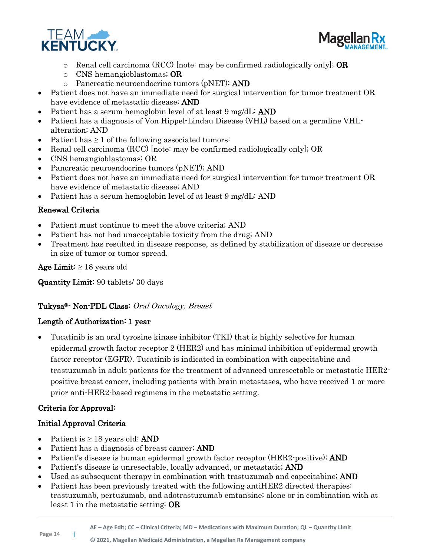



- o Renal cell carcinoma (RCC) [note: may be confirmed radiologically only]; **OR**
- o CNS hemangioblastomas; OR
- o Pancreatic neuroendocrine tumors (pNET); AND
- Patient does not have an immediate need for surgical intervention for tumor treatment OR have evidence of metastatic disease; AND
- Patient has a serum hemoglobin level of at least 9 mg/dL: AND
- Patient has a diagnosis of Von Hippel-Lindau Disease (VHL) based on a germline VHLalteration; AND
- Patient has  $\geq 1$  of the following associated tumors:
- Renal cell carcinoma (RCC) [note: may be confirmed radiologically only]; OR
- CNS hemangioblastomas; OR
- Pancreatic neuroendocrine tumors (pNET); AND
- Patient does not have an immediate need for surgical intervention for tumor treatment OR have evidence of metastatic disease; AND
- Patient has a serum hemoglobin level of at least 9 mg/dL: AND

- Patient must continue to meet the above criteria; AND
- Patient has not had unacceptable toxicity from the drug; AND
- Treatment has resulted in disease response, as defined by stabilization of disease or decrease in size of tumor or tumor spread.

Age Limit:  $\geq 18$  years old

Quantity Limit: 90 tablets/ 30 days

## Tukysa®- Non-PDL Class: Oral Oncology, Breast

## Length of Authorization: 1 year

• Tucatinib is an oral tyrosine kinase inhibitor (TKI) that is highly selective for human epidermal growth factor receptor 2 (HER2) and has minimal inhibition of epidermal growth factor receptor (EGFR). Tucatinib is indicated in combination with capecitabine and trastuzumab in adult patients for the treatment of advanced unresectable or metastatic HER2 positive breast cancer, including patients with brain metastases, who have received 1 or more prior anti-HER2-based regimens in the metastatic setting.

## Criteria for Approval:

- Patient is  $\geq 18$  years old; AND
- Patient has a diagnosis of breast cancer; **AND**
- Patient's disease is human epidermal growth factor receptor (HER2-positive); AND
- Patient's disease is unresectable, locally advanced, or metastatic; AND
- Used as subsequent therapy in combination with trastuzumab and capecitabine; AND
- Patient has been previously treated with the following antiHER2 directed therapies: trastuzumab, pertuzumab, and adotrastuzumab emtansine; alone or in combination with at least 1 in the metastatic setting; OR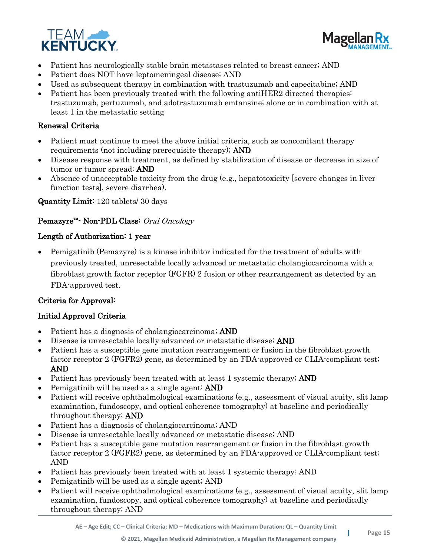



- Patient has neurologically stable brain metastases related to breast cancer; AND
- Patient does NOT have leptomeningeal disease; AND
- Used as subsequent therapy in combination with trastuzumab and capecitabine; AND
- Patient has been previously treated with the following antiHER2 directed therapies: trastuzumab, pertuzumab, and adotrastuzumab emtansine; alone or in combination with at least 1 in the metastatic setting

- Patient must continue to meet the above initial criteria, such as concomitant therapy requirements (not including prerequisite therapy); AND
- Disease response with treatment, as defined by stabilization of disease or decrease in size of tumor or tumor spread; AND
- Absence of unacceptable toxicity from the drug (e.g., hepatotoxicity [severe changes in liver function tests], severe diarrhea).

Quantity Limit: 120 tablets/ 30 days

#### Pemazyre™- Non-PDL Class: Oral Oncology

#### Length of Authorization: 1 year

• Pemigatinib (Pemazyre) is a kinase inhibitor indicated for the treatment of adults with previously treated, unresectable locally advanced or metastatic cholangiocarcinoma with a fibroblast growth factor receptor (FGFR) 2 fusion or other rearrangement as detected by an FDA-approved test.

#### Criteria for Approval:

- Patient has a diagnosis of cholangiocarcinoma; AND
- Disease is unresectable locally advanced or metastatic disease; AND
- Patient has a susceptible gene mutation rearrangement or fusion in the fibroblast growth factor receptor 2 (FGFR2) gene, as determined by an FDA-approved or CLIA-compliant test; AND
- Patient has previously been treated with at least 1 systemic therapy; AND
- Pemigatinib will be used as a single agent; **AND**
- Patient will receive ophthalmological examinations (e.g., assessment of visual acuity, slit lamp examination, fundoscopy, and optical coherence tomography) at baseline and periodically throughout therapy; AND
- Patient has a diagnosis of cholangiocarcinoma; AND
- Disease is unresectable locally advanced or metastatic disease; AND
- Patient has a susceptible gene mutation rearrangement or fusion in the fibroblast growth factor receptor 2 (FGFR2) gene, as determined by an FDA-approved or CLIA-compliant test; AND
- Patient has previously been treated with at least 1 systemic therapy; AND
- Pemigatinib will be used as a single agent; AND
- Patient will receive ophthalmological examinations (e.g., assessment of visual acuity, slit lamp examination, fundoscopy, and optical coherence tomography) at baseline and periodically throughout therapy; AND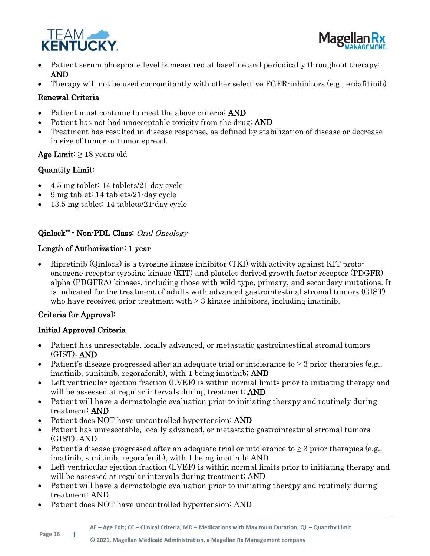



- Patient serum phosphate level is measured at baseline and periodically throughout therapy; AND
- Therapy will not be used concomitantly with other selective FGFR-inhibitors (e.g., erdafitinib)

- Patient must continue to meet the above criteria; AND
- Patient has not had unacceptable toxicity from the drug; AND
- Treatment has resulted in disease response, as defined by stabilization of disease or decrease in size of tumor or tumor spread.

## Age Limit:  $\geq 18$  years old

## Quantity Limit:

- 4.5 mg tablet: 14 tablets/21-day cycle
- 9 mg tablet: 14 tablets/21-day cycle
- 13.5 mg tablet: 14 tablets/21-day cycle

## Qinlock<sup>™</sup> - Non-PDL Class: Oral Oncology

## Length of Authorization: 1 year

• Ripretinib (Qinlock) is a tyrosine kinase inhibitor (TKI) with activity against KIT protooncogene receptor tyrosine kinase (KIT) and platelet derived growth factor receptor (PDGFR) alpha (PDGFRA) kinases, including those with wild-type, primary, and secondary mutations. It is indicated for the treatment of adults with advanced gastrointestinal stromal tumors (GIST) who have received prior treatment with  $\geq 3$  kinase inhibitors, including imatinib.

## Criteria for Approval:

- Patient has unresectable, locally advanced, or metastatic gastrointestinal stromal tumors (GIST); AND
- Patient's disease progressed after an adequate trial or intolerance to  $\geq$  3 prior therapies (e.g., imatinib, sunitinib, regorafenib), with 1 being imatinib; AND
- Left ventricular ejection fraction (LVEF) is within normal limits prior to initiating therapy and will be assessed at regular intervals during treatment; **AND**
- Patient will have a dermatologic evaluation prior to initiating therapy and routinely during treatment; AND
- Patient does NOT have uncontrolled hypertension; **AND**
- Patient has unresectable, locally advanced, or metastatic gastrointestinal stromal tumors (GIST); AND
- Patient's disease progressed after an adequate trial or intolerance to  $\geq$  3 prior therapies (e.g., imatinib, sunitinib, regorafenib), with 1 being imatinib; AND
- Left ventricular ejection fraction (LVEF) is within normal limits prior to initiating therapy and will be assessed at regular intervals during treatment; AND
- Patient will have a dermatologic evaluation prior to initiating therapy and routinely during treatment; AND
- Patient does NOT have uncontrolled hypertension; AND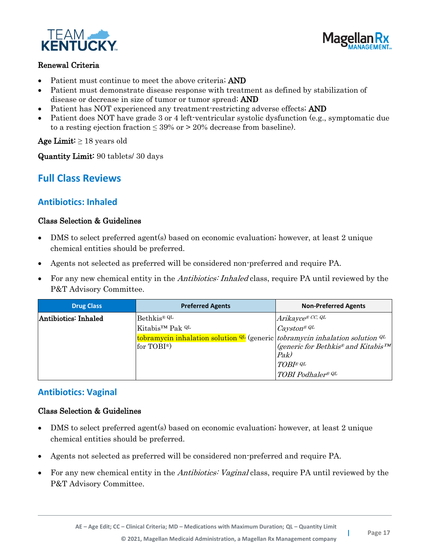



- Patient must continue to meet the above criteria; AND
- Patient must demonstrate disease response with treatment as defined by stabilization of disease or decrease in size of tumor or tumor spread; AND
- Patient has NOT experienced any treatment-restricting adverse effects; AND
- Patient does NOT have grade 3 or 4 left-ventricular systolic dysfunction (e.g., symptomatic due to a resting ejection fraction  $\leq 39\%$  or  $> 20\%$  decrease from baseline).

Age Limit:  $\geq 18$  years old

Quantity Limit: 90 tablets/ 30 days

## **Full Class Reviews**

## **Antibiotics: Inhaled**

#### Class Selection & Guidelines

- DMS to select preferred agent(s) based on economic evaluation; however, at least 2 unique chemical entities should be preferred.
- Agents not selected as preferred will be considered non-preferred and require PA.
- For any new chemical entity in the *Antibiotics: Inhaled* class, require PA until reviewed by the P&T Advisory Committee.

| <b>Drug Class</b>    | <b>Preferred Agents</b>                                                                   | <b>Non-Preferred Agents</b>                      |
|----------------------|-------------------------------------------------------------------------------------------|--------------------------------------------------|
| Antibiotics: Inhaled | Bethkis <sup>® QL</sup>                                                                   | Arikayce® CC, QL                                 |
|                      | Kitabis <sup>TM</sup> Pak <sup>QL</sup>                                                   | $\cos \theta$                                    |
|                      | tobramycin inhalation solution $Q_L$ (generic <i>tobramycin inhalation solution</i> $Q_L$ |                                                  |
|                      | for TOBI <sup>®</sup> )                                                                   | $\mathcal{A}$ (generic for Bethkis® and Kitabis™ |
|                      |                                                                                           | Pak)                                             |
|                      |                                                                                           | TOB I <sup>®</sup> QL                            |
|                      |                                                                                           | TOBI Podhaler® QL                                |

## **Antibiotics: Vaginal**

#### Class Selection & Guidelines

- DMS to select preferred agent(s) based on economic evaluation; however, at least 2 unique chemical entities should be preferred.
- Agents not selected as preferred will be considered non-preferred and require PA.
- For any new chemical entity in the *Antibiotics: Vaginal* class, require PA until reviewed by the P&T Advisory Committee.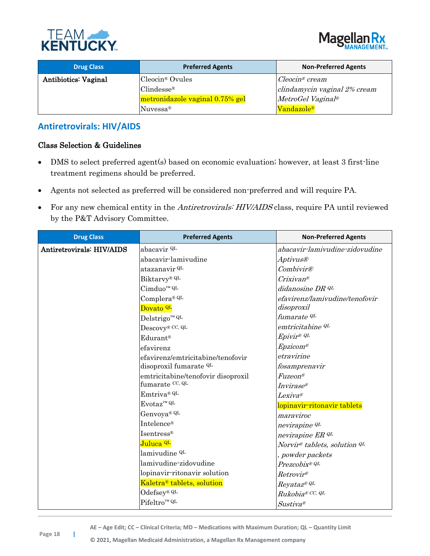



| <b>Drug Class</b>           | <b>Preferred Agents</b>         | <b>Non-Preferred Agents</b>  |
|-----------------------------|---------------------------------|------------------------------|
| <b>Antibiotics: Vaginal</b> | Cleocin <sup>®</sup> Ovules     | $Cleocin^{\circledR}$ cream  |
|                             | Clindesse <sup>®</sup>          | clindamycin vaginal 2% cream |
|                             | metronidazole vaginal 0.75% gel | MetroGel Vagina <sup>p</sup> |
|                             | Nuvessa <sup>®</sup>            | Vandazole <sup>®</sup>       |

## **Antiretrovirals: HIV/AIDS**

## Class Selection & Guidelines

- DMS to select preferred agent(s) based on economic evaluation; however, at least 3 first-line treatment regimens should be preferred.
- Agents not selected as preferred will be considered non-preferred and will require PA.
- For any new chemical entity in the *Antiretrovirals: HIV/AIDS* class, require PA until reviewed by the P&T Advisory Committee.

| <b>Drug Class</b>         | <b>Preferred Agents</b>                | <b>Non-Preferred Agents</b>    |
|---------------------------|----------------------------------------|--------------------------------|
| Antiretrovirals: HIV/AIDS | abacavir <sup>QL</sup>                 | abacavir-lamivudine-zidovudine |
|                           | abacavir-lamivudine                    | <i>Aptivus®</i>                |
|                           | atazanavir <sup>QL</sup>               | <i>Combivir®</i>               |
|                           | Biktarvy® QL                           | $C$ rixivan®                   |
|                           | Cimduo <sup>™ QL</sup>                 | didanosine DR QL               |
|                           | Complera® QL                           | efavirenz/lamivudine/tenofovir |
|                           | Dovato <sup>QL</sup>                   | disoproxil                     |
|                           | $\text{Delstrigo}^{\text{TM}}$ QL      | fumarate <sup>QL</sup>         |
|                           | Descovy® CC, QL                        | emtricitabine QL               |
|                           | Edurant <sup>®</sup>                   | Epivir <sup>®</sup> QL         |
|                           | efavirenz                              | Epzicom®                       |
|                           | efavirenz/emtricitabine/tenofovir      | etravirine                     |
|                           | disoproxil fumarate QL                 | fosamprenavir                  |
|                           | emtricitabine/tenofovir disoproxil     | <i>Fuzeon®</i>                 |
|                           | fumarate CC, QL                        | Invirase®                      |
|                           | Emtriva® QL                            | Lexiva®                        |
|                           | $Evotaz^{\text{m}}$ QL                 | lopinavir-ritonavir tablets    |
|                           | Genvoya® QL                            | maraviroc                      |
|                           | Intelence®                             | nevirapine QL                  |
|                           | Isentress®                             | nevirapine ER QL               |
|                           | Juluca <sup>QL</sup>                   | Norvir® tablets, solution QL   |
|                           | lamivudine QL                          | powder packets                 |
|                           | lamivudine-zidovudine                  | Prezcobix® QL                  |
|                           | lopinavir-ritonavir solution           | Retrovir®                      |
|                           | Kaletra <sup>®</sup> tablets, solution | Reyataz® QL                    |
|                           | $Odefsey^{\circledR}$ QL               | Rukobia® CC, QL                |
|                           | Pifeltro <sup>™ QL</sup>               | $Sustiva^{\circledR}$          |

**AE – Age Edit; CC – Clinical Criteria; MD – Medications with Maximum Duration; QL – Quantity Limit**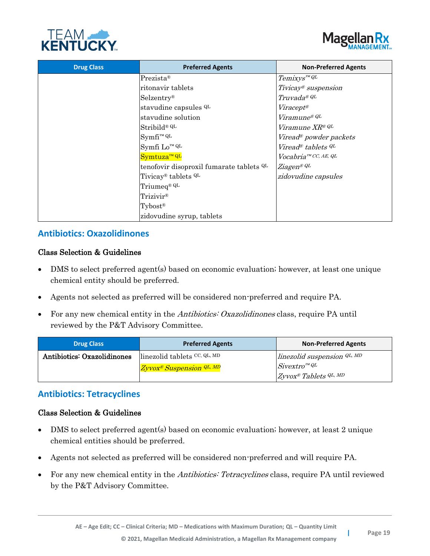



| <b>Drug Class</b> | <b>Preferred Agents</b>                    | <b>Non-Preferred Agents</b>        |
|-------------------|--------------------------------------------|------------------------------------|
|                   | $Prezista$ <sup>®</sup>                    | $Temixys^{\textit{m}}$ QL          |
|                   | ritonavir tablets                          | Tivicay <sup>®</sup> suspension    |
|                   | $Selzentry^{\circledR}$                    | Truvada® QL                        |
|                   | stavudine capsules <sup>QL</sup>           | $Viracept^{\otimes}$               |
|                   | stavudine solution                         | <i>Viramune® QL</i>                |
|                   | Stribild® QL                               | <i>Viramune XR® QL</i>             |
|                   | $Symfi^m QL$                               | Viread <sup>®</sup> powder packets |
|                   | Symfi Lo™ QL                               | Viread® tablets $QL$               |
|                   | Symtuza <sup>™ QL</sup>                    | Vocabria <sup>™ CC, AE, QL</sup>   |
|                   | tenofovir disoproxil fumarate tablets QL   | Ziagen® QL                         |
|                   | Tivicay <sup>®</sup> tablets <sup>QL</sup> | zidovudine capsules                |
|                   | Triumeq® QL                                |                                    |
|                   | Trizivir®                                  |                                    |
|                   | Tybost <sup>®</sup>                        |                                    |
|                   | zidovudine syrup, tablets                  |                                    |

## **Antibiotics: Oxazolidinones**

#### Class Selection & Guidelines

- DMS to select preferred agent(s) based on economic evaluation; however, at least one unique chemical entity should be preferred.
- Agents not selected as preferred will be considered non-preferred and require PA.
- For any new chemical entity in the Antibiotics: Oxazolidinones class, require PA until reviewed by the P&T Advisory Committee.

| <b>Drug Class</b>           | <b>Preferred Agents</b>              | <b>Non-Preferred Agents</b>            |
|-----------------------------|--------------------------------------|----------------------------------------|
| Antibiotics: Oxazolidinones | linezolid tablets CC, QL, MD         | linezolid suspension $QL, MD$          |
|                             | Zyvox <sup>®</sup> Suspension QL, MD | $Sivextro^{m}QL$                       |
|                             |                                      | $Zyvox^{\circledast}$ Tablets $QL, MD$ |

## **Antibiotics: Tetracyclines**

#### Class Selection & Guidelines

- DMS to select preferred agent(s) based on economic evaluation; however, at least 2 unique chemical entities should be preferred.
- Agents not selected as preferred will be considered non-preferred and will require PA.
- For any new chemical entity in the *Antibiotics: Tetracyclines* class, require PA until reviewed by the P&T Advisory Committee.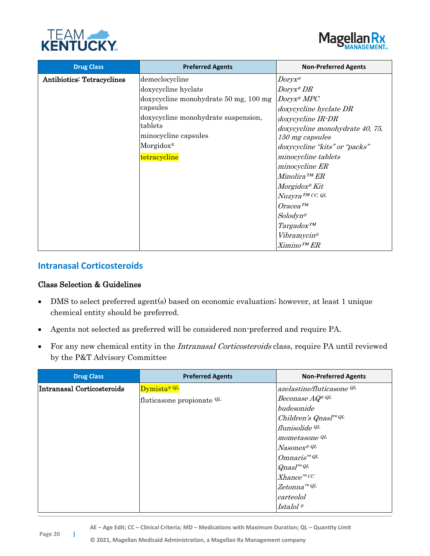



| <b>Drug Class</b>                 | <b>Preferred Agents</b>               | <b>Non-Preferred Agents</b>     |
|-----------------------------------|---------------------------------------|---------------------------------|
| <b>Antibiotics: Tetracyclines</b> | demeclocycline                        | $Doryx^{\otimes}$               |
|                                   | doxycycline hyclate                   | $Doryx^{\otimes}DR$             |
|                                   | doxycycline monohydrate 50 mg, 100 mg | Doryx <sup>®</sup> MPC          |
|                                   | capsules                              | doxycycline hyclate DR          |
|                                   | doxycycline monohydrate suspension,   | doxycycline IR-DR               |
|                                   | tablets                               | doxycycline monohydrate 40, 75, |
|                                   | minocycline capsules                  | 150 mg capsules                 |
|                                   | $Morgidox^{\circledR}$                | doxycycline "kits" or "packs"   |
|                                   | tetracycline                          | minocycline tablets             |
|                                   |                                       | minocycline ER                  |
|                                   |                                       | $Minolira$ <sup>TM</sup> $ER$   |
|                                   |                                       | $Morgidox^{\otimes} Kit$        |
|                                   |                                       | Nuzyra <sup>TM</sup> CC, QL     |
|                                   |                                       | $O$ racea $^{TM}$               |
|                                   |                                       | $Solodyn^{\circledR}$           |
|                                   |                                       | Targadox <sup>TM</sup>          |
|                                   |                                       | <i>Vibramycin®</i>              |
|                                   |                                       | $Ximino^{TM}ER$                 |

## **Intranasal Corticosteroids**

#### Class Selection & Guidelines

- DMS to select preferred agent(s) based on economic evaluation; however, at least 1 unique chemical entity should be preferred.
- Agents not selected as preferred will be considered non-preferred and require PA.
- For any new chemical entity in the Intranasal Corticosteroids class, require PA until reviewed by the P&T Advisory Committee

| <b>Drug Class</b>          | <b>Preferred Agents</b>   | <b>Non-Preferred Agents</b>               |
|----------------------------|---------------------------|-------------------------------------------|
| Intranasal Corticosteroids | Dymista <sup>® QL</sup>   | azelastine/fluticasone QL                 |
|                            | fluticasone propionate QL | Beconase AQ® QL                           |
|                            |                           | budesonide                                |
|                            |                           | Children's Qnasl <sup>TM QL</sup>         |
|                            |                           | flunisolide QL                            |
|                            |                           | mometasone <sup>QL</sup>                  |
|                            |                           | Nasonex® QL                               |
|                            |                           | $O$ mnaris <sup><math>^{m}</math>QL</sup> |
|                            |                           | $Q$ nasl™ $Q$ L                           |
|                            |                           | $Xhance^{mCC}$                            |
|                            |                           | $Zetonna^{\pi MQL}$                       |
|                            |                           | carteolol                                 |
|                            |                           | Istalol <sup>®</sup>                      |

**AE – Age Edit; CC – Clinical Criteria; MD – Medications with Maximum Duration; QL – Quantity Limit**